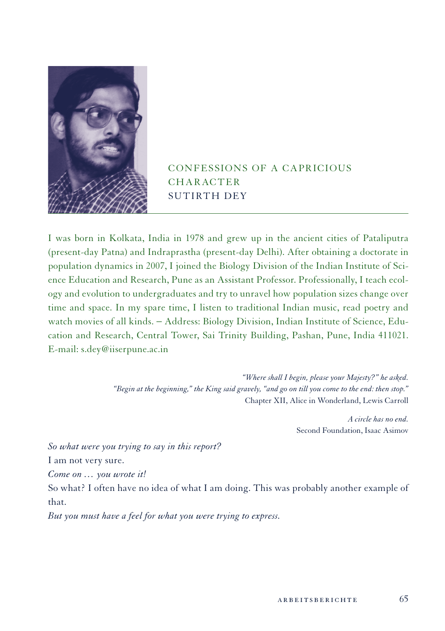

# Confessions of a Capricious **CHARACTER** SUTIRTH DEY

I was born in Kolkata, India in 1978 and grew up in the ancient cities of Pataliputra (present-day Patna) and Indraprastha (present-day Delhi). After obtaining a doctorate in population dynamics in 2007, I joined the Biology Division of the Indian Institute of Science Education and Research, Pune as an Assistant Professor. Professionally, I teach ecology and evolution to undergraduates and try to unravel how population sizes change over time and space. In my spare time, I listen to traditional Indian music, read poetry and watch movies of all kinds. − Address: Biology Division, Indian Institute of Science, Education and Research, Central Tower, Sai Trinity Building, Pashan, Pune, India 411021. E-mail: s.dey@iiserpune.ac.in

> *"Where shall I begin, please your Majesty?" he asked. "Begin at the beginning," the King said gravely, "and go on till you come to the end: then stop."* Chapter XII, Alice in Wonderland, Lewis Carroll

> > *A circle has no end.* Second Foundation, Isaac Asimov

*So what were you trying to say in this report?*

I am not very sure.

*Come on … you wrote it!*

So what? I often have no idea of what I am doing. This was probably another example of that.

*But you must have a feel for what you were trying to express.*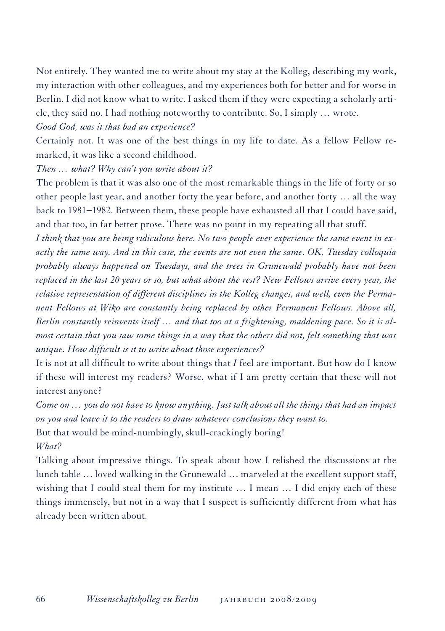Not entirely. They wanted me to write about my stay at the Kolleg, describing my work, my interaction with other colleagues, and my experiences both for better and for worse in Berlin. I did not know what to write. I asked them if they were expecting a scholarly article, they said no. I had nothing noteworthy to contribute. So, I simply … wrote.

*Good God, was it that bad an experience?*

Certainly not. It was one of the best things in my life to date. As a fellow Fellow remarked, it was like a second childhood.

*Then … what? Why can't you write about it?* 

The problem is that it was also one of the most remarkable things in the life of forty or so other people last year, and another forty the year before, and another forty … all the way back to 1981−1982. Between them, these people have exhausted all that I could have said, and that too, in far better prose. There was no point in my repeating all that stuff.

*I think that you are being ridiculous here. No two people ever experience the same event in exactly the same way. And in this case, the events are not even the same. OK, Tuesday colloquia probably always happened on Tuesdays, and the trees in Grunewald probably have not been replaced in the last 20 years or so, but what about the rest? New Fellows arrive every year, the relative representation of different disciplines in the Kolleg changes, and well, even the Permanent Fellows at Wiko are constantly being replaced by other Permanent Fellows. Above all, Berlin constantly reinvents itself … and that too at a frightening, maddening pace. So it is almost certain that you saw some things in a way that the others did not, felt something that was unique. How difficult is it to write about those experiences?*

It is not at all difficult to write about things that *I* feel are important. But how do I know if these will interest my readers? Worse, what if I am pretty certain that these will not interest anyone?

*Come on … you do not have to know anything. Just talk about all the things that had an impact on you and leave it to the readers to draw whatever conclusions they want to.*  But that would be mind-numbingly, skull-crackingly boring!

*What?*

Talking about impressive things. To speak about how I relished the discussions at the lunch table … loved walking in the Grunewald … marveled at the excellent support staff, wishing that I could steal them for my institute … I mean … I did enjoy each of these things immensely, but not in a way that I suspect is sufficiently different from what has already been written about.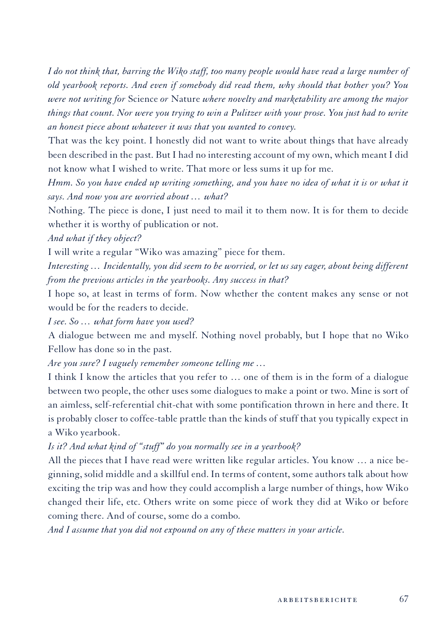*I do not think that, barring the Wiko staff, too many people would have read a large number of old yearbook reports. And even if somebody did read them, why should that bother you? You were not writing for* Science *or* Nature *where novelty and marketability are among the major things that count. Nor were you trying to win a Pulitzer with your prose. You just had to write an honest piece about whatever it was that you wanted to convey.* 

That was the key point. I honestly did not want to write about things that have already been described in the past. But I had no interesting account of my own, which meant I did not know what I wished to write. That more or less sums it up for me.

*Hmm. So you have ended up writing something, and you have no idea of what it is or what it says. And now you are worried about … what?*

Nothing. The piece is done, I just need to mail it to them now. It is for them to decide whether it is worthy of publication or not.

*And what if they object?*

I will write a regular "Wiko was amazing" piece for them.

*Interesting … Incidentally, you did seem to be worried, or let us say eager, about being different from the previous articles in the yearbooks. Any success in that?* 

I hope so, at least in terms of form. Now whether the content makes any sense or not would be for the readers to decide.

*I see. So … what form have you used?*

A dialogue between me and myself. Nothing novel probably, but I hope that no Wiko Fellow has done so in the past.

*Are you sure? I vaguely remember someone telling me …*

I think I know the articles that you refer to … one of them is in the form of a dialogue between two people, the other uses some dialogues to make a point or two. Mine is sort of an aimless, self-referential chit-chat with some pontification thrown in here and there. It is probably closer to coffee-table prattle than the kinds of stuff that you typically expect in a Wiko yearbook.

*Is it? And what kind of "stuff" do you normally see in a yearbook?*

All the pieces that I have read were written like regular articles. You know … a nice beginning, solid middle and a skillful end. In terms of content, some authors talk about how exciting the trip was and how they could accomplish a large number of things, how Wiko changed their life, etc. Others write on some piece of work they did at Wiko or before coming there. And of course, some do a combo.

*And I assume that you did not expound on any of these matters in your article.*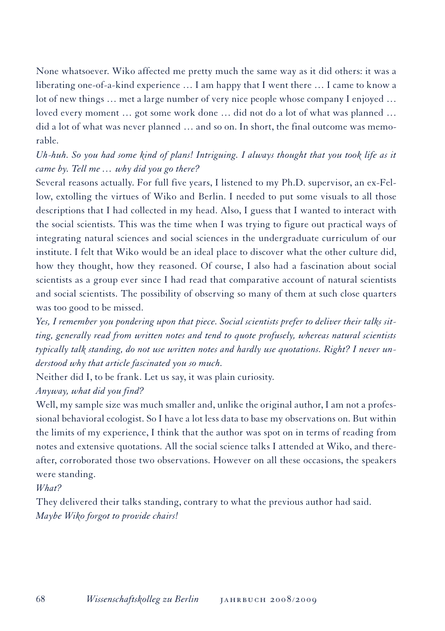None whatsoever. Wiko affected me pretty much the same way as it did others: it was a liberating one-of-a-kind experience … I am happy that I went there … I came to know a lot of new things … met a large number of very nice people whose company I enjoyed … loved every moment … got some work done … did not do a lot of what was planned … did a lot of what was never planned … and so on. In short, the final outcome was memorable.

# *Uh-huh. So you had some kind of plans! Intriguing. I always thought that you took life as it came by. Tell me … why did you go there?*

Several reasons actually. For full five years, I listened to my Ph.D. supervisor, an ex-Fellow, extolling the virtues of Wiko and Berlin. I needed to put some visuals to all those descriptions that I had collected in my head. Also, I guess that I wanted to interact with the social scientists. This was the time when I was trying to figure out practical ways of integrating natural sciences and social sciences in the undergraduate curriculum of our institute. I felt that Wiko would be an ideal place to discover what the other culture did, how they thought, how they reasoned. Of course, I also had a fascination about social scientists as a group ever since I had read that comparative account of natural scientists and social scientists. The possibility of observing so many of them at such close quarters was too good to be missed.

*Yes, I remember you pondering upon that piece. Social scientists prefer to deliver their talks sitting, generally read from written notes and tend to quote profusely, whereas natural scientists typically talk standing, do not use written notes and hardly use quotations. Right? I never understood why that article fascinated you so much.*

Neither did I, to be frank. Let us say, it was plain curiosity.

# *Anyway, what did you find?*

Well, my sample size was much smaller and, unlike the original author, I am not a professional behavioral ecologist. So I have a lot less data to base my observations on. But within the limits of my experience, I think that the author was spot on in terms of reading from notes and extensive quotations. All the social science talks I attended at Wiko, and thereafter, corroborated those two observations. However on all these occasions, the speakers were standing.

# *What?*

They delivered their talks standing, contrary to what the previous author had said. *Maybe Wiko forgot to provide chairs!*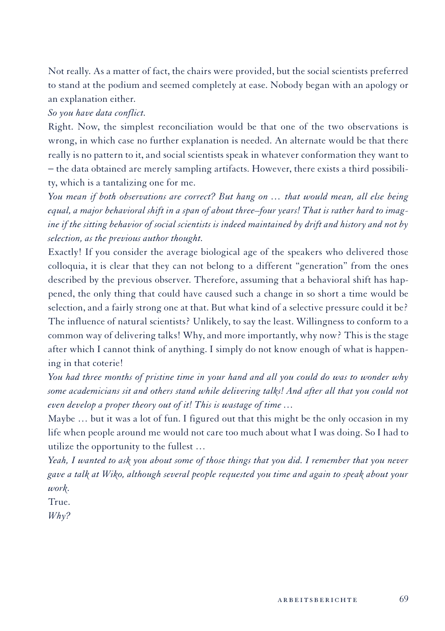Not really. As a matter of fact, the chairs were provided, but the social scientists preferred to stand at the podium and seemed completely at ease. Nobody began with an apology or an explanation either.

#### *So you have data conflict.*

Right. Now, the simplest reconciliation would be that one of the two observations is wrong, in which case no further explanation is needed. An alternate would be that there really is no pattern to it, and social scientists speak in whatever conformation they want to − the data obtained are merely sampling artifacts. However, there exists a third possibility, which is a tantalizing one for me.

*You mean if both observations are correct? But hang on … that would mean, all else being equal, a major behavioral shift in a span of about three–four years! That is rather hard to imagine if the sitting behavior of social scientists is indeed maintained by drift and history and not by selection, as the previous author thought.*

Exactly! If you consider the average biological age of the speakers who delivered those colloquia, it is clear that they can not belong to a different "generation" from the ones described by the previous observer. Therefore, assuming that a behavioral shift has happened, the only thing that could have caused such a change in so short a time would be selection, and a fairly strong one at that. But what kind of a selective pressure could it be? The influence of natural scientists? Unlikely, to say the least. Willingness to conform to a common way of delivering talks! Why, and more importantly, why now? This is the stage after which I cannot think of anything. I simply do not know enough of what is happening in that coterie!

*You had three months of pristine time in your hand and all you could do was to wonder why some academicians sit and others stand while delivering talks! And after all that you could not even develop a proper theory out of it! This is wastage of time …*

Maybe … but it was a lot of fun. I figured out that this might be the only occasion in my life when people around me would not care too much about what I was doing. So I had to utilize the opportunity to the fullest …

*Yeah, I wanted to ask you about some of those things that you did. I remember that you never gave a talk at Wiko, although several people requested you time and again to speak about your work.*

True.

*Why?*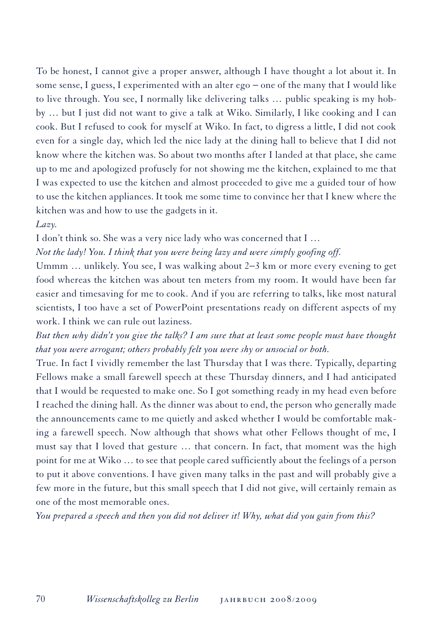To be honest, I cannot give a proper answer, although I have thought a lot about it. In some sense, I guess, I experimented with an alter ego – one of the many that I would like to live through. You see, I normally like delivering talks … public speaking is my hobby … but I just did not want to give a talk at Wiko. Similarly, I like cooking and I can cook. But I refused to cook for myself at Wiko. In fact, to digress a little, I did not cook even for a single day, which led the nice lady at the dining hall to believe that I did not know where the kitchen was. So about two months after I landed at that place, she came up to me and apologized profusely for not showing me the kitchen, explained to me that I was expected to use the kitchen and almost proceeded to give me a guided tour of how to use the kitchen appliances. It took me some time to convince her that I knew where the kitchen was and how to use the gadgets in it.

#### *Lazy.*

I don't think so. She was a very nice lady who was concerned that I …

*Not the lady! You. I think that you were being lazy and were simply goofing off.* 

Ummm … unlikely. You see, I was walking about 2−3 km or more every evening to get food whereas the kitchen was about ten meters from my room. It would have been far easier and timesaving for me to cook. And if you are referring to talks, like most natural scientists, I too have a set of PowerPoint presentations ready on different aspects of my work. I think we can rule out laziness.

*But then why didn't you give the talks? I am sure that at least some people must have thought that you were arrogant; others probably felt you were shy or unsocial or both.* 

True. In fact I vividly remember the last Thursday that I was there. Typically, departing Fellows make a small farewell speech at these Thursday dinners, and I had anticipated that I would be requested to make one. So I got something ready in my head even before I reached the dining hall. As the dinner was about to end, the person who generally made the announcements came to me quietly and asked whether I would be comfortable making a farewell speech. Now although that shows what other Fellows thought of me, I must say that I loved that gesture … that concern. In fact, that moment was the high point for me at Wiko … to see that people cared sufficiently about the feelings of a person to put it above conventions. I have given many talks in the past and will probably give a few more in the future, but this small speech that I did not give, will certainly remain as one of the most memorable ones.

*You prepared a speech and then you did not deliver it! Why, what did you gain from this?*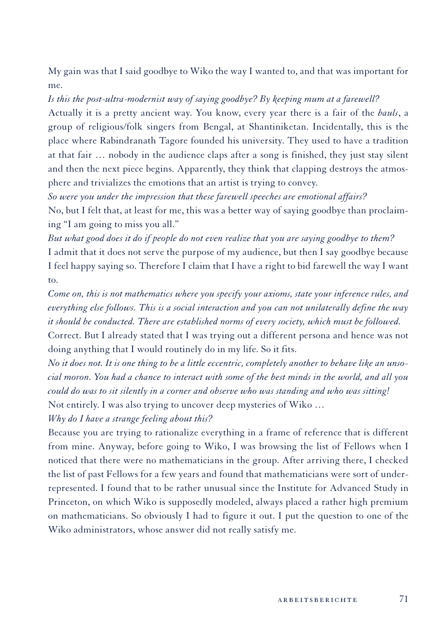My gain was that I said goodbye to Wiko the way I wanted to, and that was important for me.

# *Is this the post-ultra-modernist way of saying goodbye? By keeping mum at a farewell?*

Actually it is a pretty ancient way. You know, every year there is a fair of the *bauls*, a group of religious/folk singers from Bengal, at Shantiniketan. Incidentally, this is the place where Rabindranath Tagore founded his university. They used to have a tradition at that fair … nobody in the audience claps after a song is finished, they just stay silent and then the next piece begins. Apparently, they think that clapping destroys the atmosphere and trivializes the emotions that an artist is trying to convey.

*So were you under the impression that these farewell speeches are emotional affairs?* No, but I felt that, at least for me, this was a better way of saying goodbye than proclaiming "I am going to miss you all."

*But what good does it do if people do not even realize that you are saying goodbye to them?*  I admit that it does not serve the purpose of my audience, but then I say goodbye because I feel happy saying so. Therefore I claim that I have a right to bid farewell the way I want to.

*Come on, this is not mathematics where you specify your axioms, state your inference rules, and everything else follows. This is a social interaction and you can not unilaterally define the way it should be conducted. There are established norms of every society, which must be followed.* 

Correct. But I already stated that I was trying out a different persona and hence was not doing anything that I would routinely do in my life. So it fits.

*No it does not. It is one thing to be a little eccentric, completely another to behave like an unsocial moron. You had a chance to interact with some of the best minds in the world, and all you could do was to sit silently in a corner and observe who was standing and who was sitting!*  Not entirely. I was also trying to uncover deep mysteries of Wiko …

*Why do I have a strange feeling about this?*

Because you are trying to rationalize everything in a frame of reference that is different from mine. Anyway, before going to Wiko, I was browsing the list of Fellows when I noticed that there were no mathematicians in the group. After arriving there, I checked the list of past Fellows for a few years and found that mathematicians were sort of underrepresented. I found that to be rather unusual since the Institute for Advanced Study in Princeton, on which Wiko is supposedly modeled, always placed a rather high premium on mathematicians. So obviously I had to figure it out. I put the question to one of the Wiko administrators, whose answer did not really satisfy me.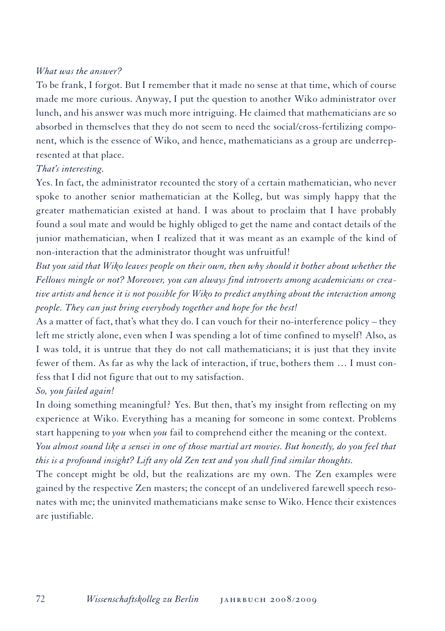#### *What was the answer?*

To be frank, I forgot. But I remember that it made no sense at that time, which of course made me more curious. Anyway, I put the question to another Wiko administrator over lunch, and his answer was much more intriguing. He claimed that mathematicians are so absorbed in themselves that they do not seem to need the social/cross-fertilizing component, which is the essence of Wiko, and hence, mathematicians as a group are underrepresented at that place.

#### *That's interesting.*

Yes. In fact, the administrator recounted the story of a certain mathematician, who never spoke to another senior mathematician at the Kolleg, but was simply happy that the greater mathematician existed at hand. I was about to proclaim that I have probably found a soul mate and would be highly obliged to get the name and contact details of the junior mathematician, when I realized that it was meant as an example of the kind of non-interaction that the administrator thought was unfruitful!

*But you said that Wiko leaves people on their own, then why should it bother about whether the Fellows mingle or not? Moreover, you can always find introverts among academicians or creative artists and hence it is not possible for Wiko to predict anything about the interaction among people. They can just bring everybody together and hope for the best!*

As a matter of fact, that's what they do. I can vouch for their no-interference policy – they left me strictly alone, even when I was spending a lot of time confined to myself! Also, as I was told, it is untrue that they do not call mathematicians; it is just that they invite fewer of them. As far as why the lack of interaction, if true, bothers them … I must confess that I did not figure that out to my satisfaction.

# *So, you failed again!*

In doing something meaningful? Yes. But then, that's my insight from reflecting on my experience at Wiko. Everything has a meaning for someone in some context. Problems start happening to *you* when *you* fail to comprehend either the meaning or the context. *You almost sound like a sensei in one of those martial art movies. But honestly, do you feel that this is a profound insight? Lift any old Zen text and you shall find similar thoughts.* 

The concept might be old, but the realizations are my own. The Zen examples were gained by the respective Zen masters; the concept of an undelivered farewell speech resonates with me; the uninvited mathematicians make sense to Wiko. Hence their existences are justifiable.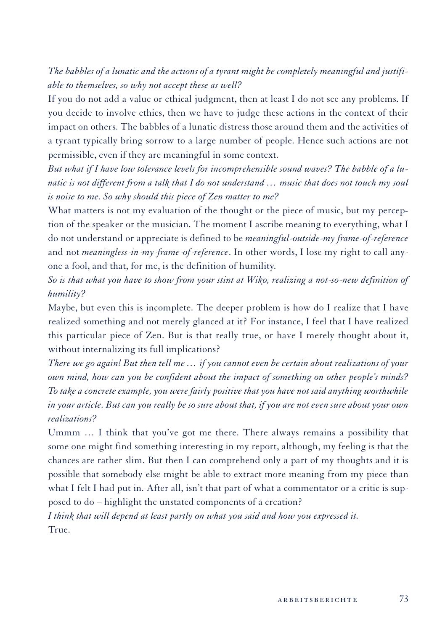*The babbles of a lunatic and the actions of a tyrant might be completely meaningful and justifiable to themselves, so why not accept these as well?*

If you do not add a value or ethical judgment, then at least I do not see any problems. If you decide to involve ethics, then we have to judge these actions in the context of their impact on others. The babbles of a lunatic distress those around them and the activities of a tyrant typically bring sorrow to a large number of people. Hence such actions are not permissible, even if they are meaningful in some context.

*But what if I have low tolerance levels for incomprehensible sound waves? The babble of a lunatic is not different from a talk that I do not understand … music that does not touch my soul is noise to me. So why should this piece of Zen matter to me?*

What matters is not my evaluation of the thought or the piece of music, but my perception of the speaker or the musician. The moment I ascribe meaning to everything, what I do not understand or appreciate is defined to be *meaningful-outside-my frame-of-reference* and not *meaningless-in-my-frame-of-reference*. In other words, I lose my right to call anyone a fool, and that, for me, is the definition of humility.

*So is that what you have to show from your stint at Wiko, realizing a not-so-new definition of humility?*

Maybe, but even this is incomplete. The deeper problem is how do I realize that I have realized something and not merely glanced at it? For instance, I feel that I have realized this particular piece of Zen. But is that really true, or have I merely thought about it, without internalizing its full implications?

*There we go again! But then tell me … if you cannot even be certain about realizations of your own mind, how can you be confident about the impact of something on other people's minds? To take a concrete example, you were fairly positive that you have not said anything worthwhile in your article. But can you really be so sure about that, if you are not even sure about your own realizations?* 

Ummm … I think that you've got me there. There always remains a possibility that some one might find something interesting in my report, although, my feeling is that the chances are rather slim. But then I can comprehend only a part of my thoughts and it is possible that somebody else might be able to extract more meaning from my piece than what I felt I had put in. After all, isn't that part of what a commentator or a critic is supposed to do – highlight the unstated components of a creation?

*I think that will depend at least partly on what you said and how you expressed it.*  True.